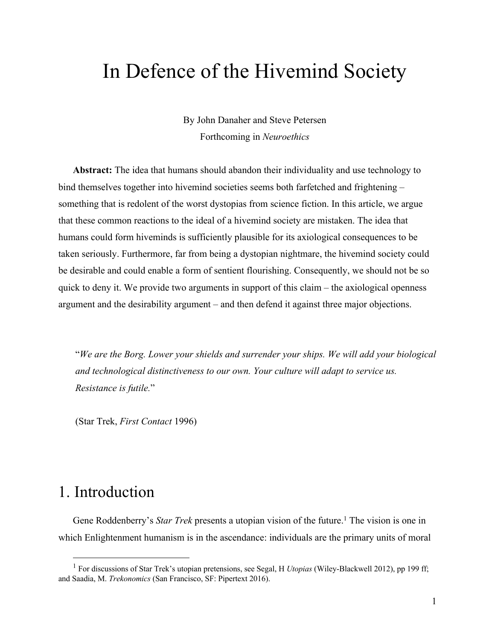# In Defence of the Hivemind Society

By John Danaher and Steve Petersen Forthcoming in *Neuroethics*

**Abstract:** The idea that humans should abandon their individuality and use technology to bind themselves together into hivemind societies seems both farfetched and frightening – something that is redolent of the worst dystopias from science fiction. In this article, we argue that these common reactions to the ideal of a hivemind society are mistaken. The idea that humans could form hiveminds is sufficiently plausible for its axiological consequences to be taken seriously. Furthermore, far from being a dystopian nightmare, the hivemind society could be desirable and could enable a form of sentient flourishing. Consequently, we should not be so quick to deny it. We provide two arguments in support of this claim – the axiological openness argument and the desirability argument – and then defend it against three major objections.

"*We are the Borg. Lower your shields and surrender your ships. We will add your biological and technological distinctiveness to our own. Your culture will adapt to service us. Resistance is futile.*"

(Star Trek, *First Contact* 1996)

# 1. Introduction

Gene Roddenberry's *Star Trek* presents a utopian vision of the future.<sup>1</sup> The vision is one in which Enlightenment humanism is in the ascendance: individuals are the primary units of moral

<sup>1</sup> For discussions of Star Trek's utopian pretensions, see Segal, H *Utopias* (Wiley-Blackwell 2012), pp 199 ff; and Saadia, M. *Trekonomics* (San Francisco, SF: Pipertext 2016).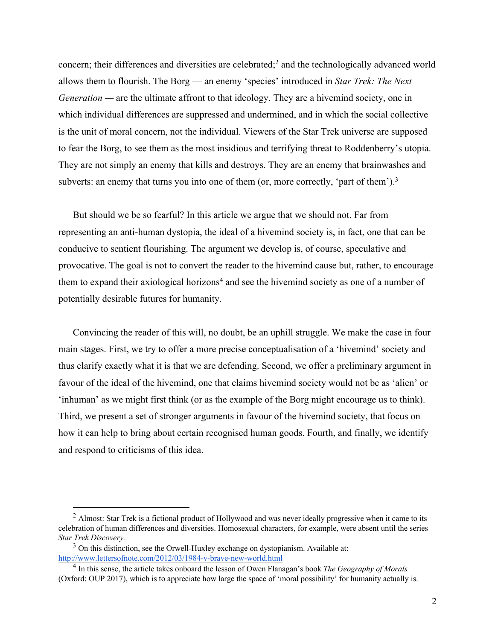concern; their differences and diversities are celebrated;2 and the technologically advanced world allows them to flourish. The Borg — an enemy 'species' introduced in *Star Trek: The Next Generation —* are the ultimate affront to that ideology. They are a hivemind society, one in which individual differences are suppressed and undermined, and in which the social collective is the unit of moral concern, not the individual. Viewers of the Star Trek universe are supposed to fear the Borg, to see them as the most insidious and terrifying threat to Roddenberry's utopia. They are not simply an enemy that kills and destroys. They are an enemy that brainwashes and subverts: an enemy that turns you into one of them (or, more correctly, 'part of them').<sup>3</sup>

But should we be so fearful? In this article we argue that we should not. Far from representing an anti-human dystopia, the ideal of a hivemind society is, in fact, one that can be conducive to sentient flourishing. The argument we develop is, of course, speculative and provocative. The goal is not to convert the reader to the hivemind cause but, rather, to encourage them to expand their axiological horizons<sup>4</sup> and see the hivemind society as one of a number of potentially desirable futures for humanity.

Convincing the reader of this will, no doubt, be an uphill struggle. We make the case in four main stages. First, we try to offer a more precise conceptualisation of a 'hivemind' society and thus clarify exactly what it is that we are defending. Second, we offer a preliminary argument in favour of the ideal of the hivemind, one that claims hivemind society would not be as 'alien' or 'inhuman' as we might first think (or as the example of the Borg might encourage us to think). Third, we present a set of stronger arguments in favour of the hivemind society, that focus on how it can help to bring about certain recognised human goods. Fourth, and finally, we identify and respond to criticisms of this idea.

 $2$  Almost: Star Trek is a fictional product of Hollywood and was never ideally progressive when it came to its celebration of human differences and diversities. Homosexual characters, for example, were absent until the series *Star Trek Discovery.*

 $3$  On this distinction, see the Orwell-Huxley exchange on dystopianism. Available at: http://www.lettersofnote.com/2012/03/1984-v-brave-new-world.html

<sup>4</sup> In this sense, the article takes onboard the lesson of Owen Flanagan's book *The Geography of Morals* (Oxford: OUP 2017), which is to appreciate how large the space of 'moral possibility' for humanity actually is.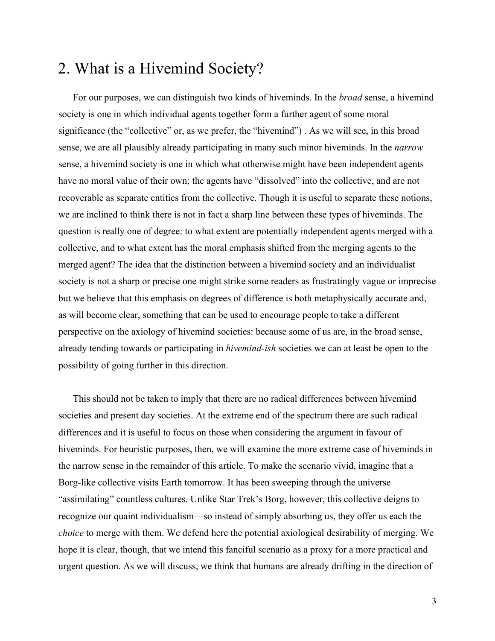# 2. What is a Hivemind Society?

For our purposes, we can distinguish two kinds of hiveminds. In the *broad* sense, a hivemind society is one in which individual agents together form a further agent of some moral significance (the "collective" or, as we prefer, the "hivemind"). As we will see, in this broad sense, we are all plausibly already participating in many such minor hiveminds. In the *narrow* sense, a hivemind society is one in which what otherwise might have been independent agents have no moral value of their own; the agents have "dissolved" into the collective, and are not recoverable as separate entities from the collective. Though it is useful to separate these notions, we are inclined to think there is not in fact a sharp line between these types of hiveminds. The question is really one of degree: to what extent are potentially independent agents merged with a collective, and to what extent has the moral emphasis shifted from the merging agents to the merged agent? The idea that the distinction between a hivemind society and an individualist society is not a sharp or precise one might strike some readers as frustratingly vague or imprecise but we believe that this emphasis on degrees of difference is both metaphysically accurate and, as will become clear, something that can be used to encourage people to take a different perspective on the axiology of hivemind societies: because some of us are, in the broad sense, already tending towards or participating in *hivemind-ish* societies we can at least be open to the possibility of going further in this direction.

This should not be taken to imply that there are no radical differences between hivemind societies and present day societies. At the extreme end of the spectrum there are such radical differences and it is useful to focus on those when considering the argument in favour of hiveminds. For heuristic purposes, then, we will examine the more extreme case of hiveminds in the narrow sense in the remainder of this article. To make the scenario vivid, imagine that a Borg-like collective visits Earth tomorrow. It has been sweeping through the universe "assimilating" countless cultures. Unlike Star Trek's Borg, however, this collective deigns to recognize our quaint individualism—so instead of simply absorbing us, they offer us each the *choice* to merge with them. We defend here the potential axiological desirability of merging. We hope it is clear, though, that we intend this fanciful scenario as a proxy for a more practical and urgent question. As we will discuss, we think that humans are already drifting in the direction of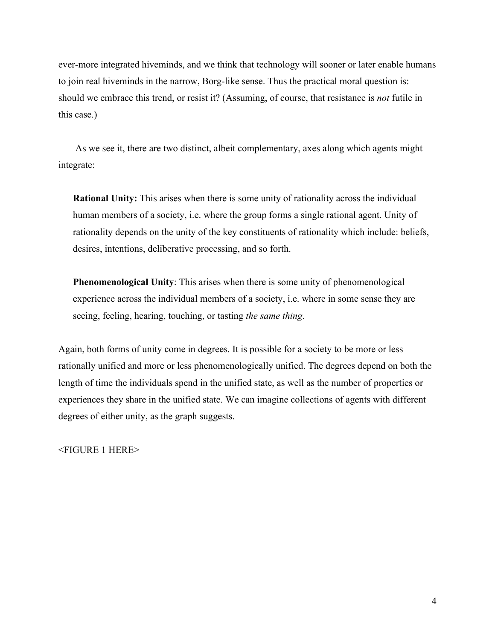ever-more integrated hiveminds, and we think that technology will sooner or later enable humans to join real hiveminds in the narrow, Borg-like sense. Thus the practical moral question is: should we embrace this trend, or resist it? (Assuming, of course, that resistance is *not* futile in this case.)

As we see it, there are two distinct, albeit complementary, axes along which agents might integrate:

**Rational Unity:** This arises when there is some unity of rationality across the individual human members of a society, i.e. where the group forms a single rational agent. Unity of rationality depends on the unity of the key constituents of rationality which include: beliefs, desires, intentions, deliberative processing, and so forth.

**Phenomenological Unity**: This arises when there is some unity of phenomenological experience across the individual members of a society, i.e. where in some sense they are seeing, feeling, hearing, touching, or tasting *the same thing*.

Again, both forms of unity come in degrees. It is possible for a society to be more or less rationally unified and more or less phenomenologically unified. The degrees depend on both the length of time the individuals spend in the unified state, as well as the number of properties or experiences they share in the unified state. We can imagine collections of agents with different degrees of either unity, as the graph suggests.

<FIGURE 1 HERE>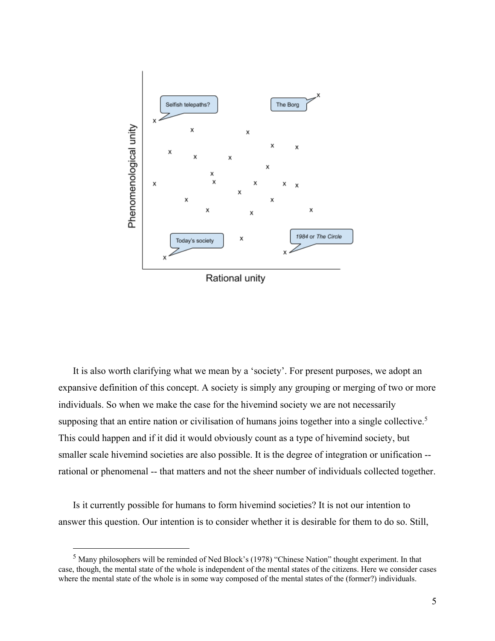

It is also worth clarifying what we mean by a 'society'. For present purposes, we adopt an expansive definition of this concept. A society is simply any grouping or merging of two or more individuals. So when we make the case for the hivemind society we are not necessarily supposing that an entire nation or civilisation of humans joins together into a single collective.<sup>5</sup> This could happen and if it did it would obviously count as a type of hivemind society, but smaller scale hivemind societies are also possible. It is the degree of integration or unification - rational or phenomenal -- that matters and not the sheer number of individuals collected together.

Is it currently possible for humans to form hivemind societies? It is not our intention to answer this question. Our intention is to consider whether it is desirable for them to do so. Still,

<sup>5</sup> Many philosophers will be reminded of Ned Block's (1978) "Chinese Nation" thought experiment. In that case, though, the mental state of the whole is independent of the mental states of the citizens. Here we consider cases where the mental state of the whole is in some way composed of the mental states of the (former?) individuals.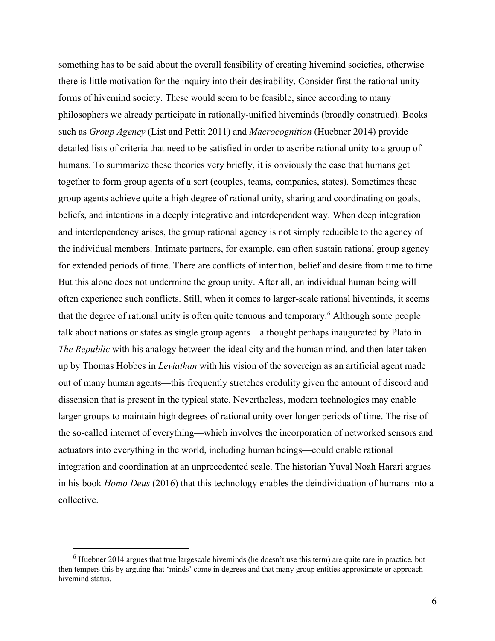something has to be said about the overall feasibility of creating hivemind societies, otherwise there is little motivation for the inquiry into their desirability. Consider first the rational unity forms of hivemind society. These would seem to be feasible, since according to many philosophers we already participate in rationally-unified hiveminds (broadly construed). Books such as *Group Agency* (List and Pettit 2011) and *Macrocognition* (Huebner 2014) provide detailed lists of criteria that need to be satisfied in order to ascribe rational unity to a group of humans. To summarize these theories very briefly, it is obviously the case that humans get together to form group agents of a sort (couples, teams, companies, states). Sometimes these group agents achieve quite a high degree of rational unity, sharing and coordinating on goals, beliefs, and intentions in a deeply integrative and interdependent way. When deep integration and interdependency arises, the group rational agency is not simply reducible to the agency of the individual members. Intimate partners, for example, can often sustain rational group agency for extended periods of time. There are conflicts of intention, belief and desire from time to time. But this alone does not undermine the group unity. After all, an individual human being will often experience such conflicts. Still, when it comes to larger-scale rational hiveminds, it seems that the degree of rational unity is often quite tenuous and temporary.6 Although some people talk about nations or states as single group agents—a thought perhaps inaugurated by Plato in *The Republic* with his analogy between the ideal city and the human mind, and then later taken up by Thomas Hobbes in *Leviathan* with his vision of the sovereign as an artificial agent made out of many human agents—this frequently stretches credulity given the amount of discord and dissension that is present in the typical state. Nevertheless, modern technologies may enable larger groups to maintain high degrees of rational unity over longer periods of time. The rise of the so-called internet of everything—which involves the incorporation of networked sensors and actuators into everything in the world, including human beings—could enable rational integration and coordination at an unprecedented scale. The historian Yuval Noah Harari argues in his book *Homo Deus* (2016) that this technology enables the deindividuation of humans into a collective.

 $6$  Huebner 2014 argues that true largescale hiveminds (he doesn't use this term) are quite rare in practice, but then tempers this by arguing that 'minds' come in degrees and that many group entities approximate or approach hivemind status.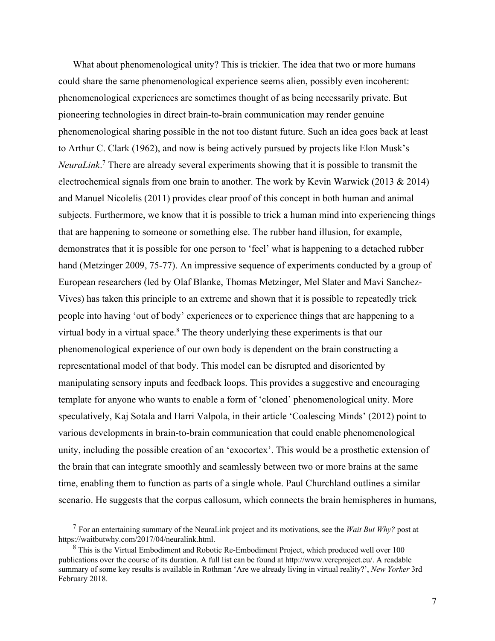What about phenomenological unity? This is trickier. The idea that two or more humans could share the same phenomenological experience seems alien, possibly even incoherent: phenomenological experiences are sometimes thought of as being necessarily private. But pioneering technologies in direct brain-to-brain communication may render genuine phenomenological sharing possible in the not too distant future. Such an idea goes back at least to Arthur C. Clark (1962), and now is being actively pursued by projects like Elon Musk's *NeuraLink*. <sup>7</sup> There are already several experiments showing that it is possible to transmit the electrochemical signals from one brain to another. The work by Kevin Warwick (2013 & 2014) and Manuel Nicolelis (2011) provides clear proof of this concept in both human and animal subjects. Furthermore, we know that it is possible to trick a human mind into experiencing things that are happening to someone or something else. The rubber hand illusion, for example, demonstrates that it is possible for one person to 'feel' what is happening to a detached rubber hand (Metzinger 2009, 75-77). An impressive sequence of experiments conducted by a group of European researchers (led by Olaf Blanke, Thomas Metzinger, Mel Slater and Mavi Sanchez-Vives) has taken this principle to an extreme and shown that it is possible to repeatedly trick people into having 'out of body' experiences or to experience things that are happening to a virtual body in a virtual space.<sup>8</sup> The theory underlying these experiments is that our phenomenological experience of our own body is dependent on the brain constructing a representational model of that body. This model can be disrupted and disoriented by manipulating sensory inputs and feedback loops. This provides a suggestive and encouraging template for anyone who wants to enable a form of 'cloned' phenomenological unity. More speculatively, Kaj Sotala and Harri Valpola, in their article 'Coalescing Minds' (2012) point to various developments in brain-to-brain communication that could enable phenomenological unity, including the possible creation of an 'exocortex'. This would be a prosthetic extension of the brain that can integrate smoothly and seamlessly between two or more brains at the same time, enabling them to function as parts of a single whole. Paul Churchland outlines a similar scenario. He suggests that the corpus callosum, which connects the brain hemispheres in humans,

<sup>7</sup> For an entertaining summary of the NeuraLink project and its motivations, see the *Wait But Why?* post at https://waitbutwhy.com/2017/04/neuralink.html.

<sup>&</sup>lt;sup>8</sup> This is the Virtual Embodiment and Robotic Re-Embodiment Project, which produced well over 100 publications over the course of its duration. A full list can be found at http://www.vereproject.eu/. A readable summary of some key results is available in Rothman 'Are we already living in virtual reality?', *New Yorker* 3rd February 2018.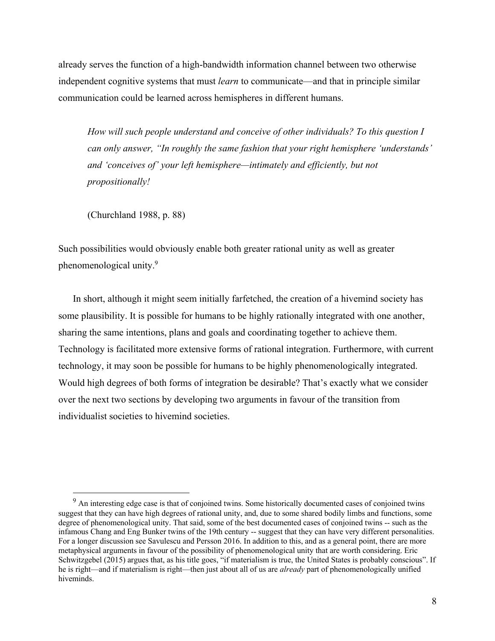already serves the function of a high-bandwidth information channel between two otherwise independent cognitive systems that must *learn* to communicate—and that in principle similar communication could be learned across hemispheres in different humans.

*How will such people understand and conceive of other individuals? To this question I can only answer, "In roughly the same fashion that your right hemisphere 'understands' and 'conceives of' your left hemisphere—intimately and efficiently, but not propositionally!*

(Churchland 1988, p. 88)

Such possibilities would obviously enable both greater rational unity as well as greater phenomenological unity.9

In short, although it might seem initially farfetched, the creation of a hivemind society has some plausibility. It is possible for humans to be highly rationally integrated with one another, sharing the same intentions, plans and goals and coordinating together to achieve them. Technology is facilitated more extensive forms of rational integration. Furthermore, with current technology, it may soon be possible for humans to be highly phenomenologically integrated. Would high degrees of both forms of integration be desirable? That's exactly what we consider over the next two sections by developing two arguments in favour of the transition from individualist societies to hivemind societies.

<sup>&</sup>lt;sup>9</sup> An interesting edge case is that of conjoined twins. Some historically documented cases of conjoined twins suggest that they can have high degrees of rational unity, and, due to some shared bodily limbs and functions, some degree of phenomenological unity. That said, some of the best documented cases of conjoined twins -- such as the infamous Chang and Eng Bunker twins of the 19th century -- suggest that they can have very different personalities. For a longer discussion see Savulescu and Persson 2016. In addition to this, and as a general point, there are more metaphysical arguments in favour of the possibility of phenomenological unity that are worth considering. Eric Schwitzgebel (2015) argues that, as his title goes, "if materialism is true, the United States is probably conscious". If he is right—and if materialism is right—then just about all of us are *already* part of phenomenologically unified hiveminds.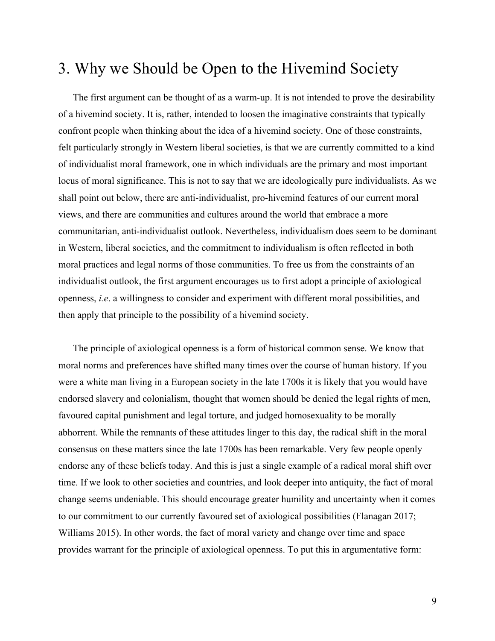# 3. Why we Should be Open to the Hivemind Society

The first argument can be thought of as a warm-up. It is not intended to prove the desirability of a hivemind society. It is, rather, intended to loosen the imaginative constraints that typically confront people when thinking about the idea of a hivemind society. One of those constraints, felt particularly strongly in Western liberal societies, is that we are currently committed to a kind of individualist moral framework, one in which individuals are the primary and most important locus of moral significance. This is not to say that we are ideologically pure individualists. As we shall point out below, there are anti-individualist, pro-hivemind features of our current moral views, and there are communities and cultures around the world that embrace a more communitarian, anti-individualist outlook. Nevertheless, individualism does seem to be dominant in Western, liberal societies, and the commitment to individualism is often reflected in both moral practices and legal norms of those communities. To free us from the constraints of an individualist outlook, the first argument encourages us to first adopt a principle of axiological openness, *i.e*. a willingness to consider and experiment with different moral possibilities, and then apply that principle to the possibility of a hivemind society.

The principle of axiological openness is a form of historical common sense. We know that moral norms and preferences have shifted many times over the course of human history. If you were a white man living in a European society in the late 1700s it is likely that you would have endorsed slavery and colonialism, thought that women should be denied the legal rights of men, favoured capital punishment and legal torture, and judged homosexuality to be morally abhorrent. While the remnants of these attitudes linger to this day, the radical shift in the moral consensus on these matters since the late 1700s has been remarkable. Very few people openly endorse any of these beliefs today. And this is just a single example of a radical moral shift over time. If we look to other societies and countries, and look deeper into antiquity, the fact of moral change seems undeniable. This should encourage greater humility and uncertainty when it comes to our commitment to our currently favoured set of axiological possibilities (Flanagan 2017; Williams 2015). In other words, the fact of moral variety and change over time and space provides warrant for the principle of axiological openness. To put this in argumentative form: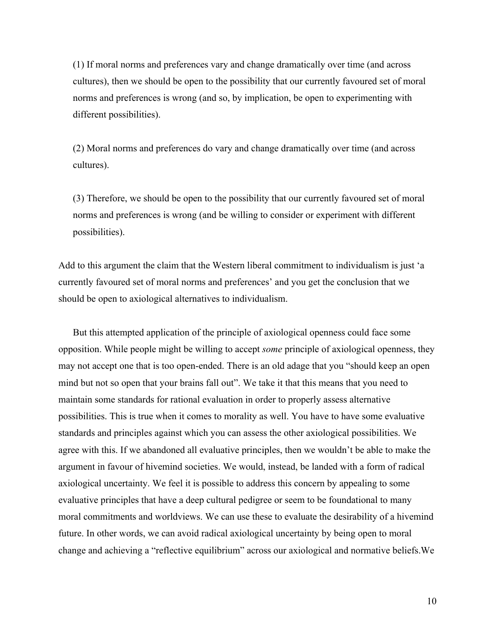(1) If moral norms and preferences vary and change dramatically over time (and across cultures), then we should be open to the possibility that our currently favoured set of moral norms and preferences is wrong (and so, by implication, be open to experimenting with different possibilities).

(2) Moral norms and preferences do vary and change dramatically over time (and across cultures).

(3) Therefore, we should be open to the possibility that our currently favoured set of moral norms and preferences is wrong (and be willing to consider or experiment with different possibilities).

Add to this argument the claim that the Western liberal commitment to individualism is just 'a currently favoured set of moral norms and preferences' and you get the conclusion that we should be open to axiological alternatives to individualism.

But this attempted application of the principle of axiological openness could face some opposition. While people might be willing to accept *some* principle of axiological openness, they may not accept one that is too open-ended. There is an old adage that you "should keep an open mind but not so open that your brains fall out". We take it that this means that you need to maintain some standards for rational evaluation in order to properly assess alternative possibilities. This is true when it comes to morality as well. You have to have some evaluative standards and principles against which you can assess the other axiological possibilities. We agree with this. If we abandoned all evaluative principles, then we wouldn't be able to make the argument in favour of hivemind societies. We would, instead, be landed with a form of radical axiological uncertainty. We feel it is possible to address this concern by appealing to some evaluative principles that have a deep cultural pedigree or seem to be foundational to many moral commitments and worldviews. We can use these to evaluate the desirability of a hivemind future. In other words, we can avoid radical axiological uncertainty by being open to moral change and achieving a "reflective equilibrium" across our axiological and normative beliefs.We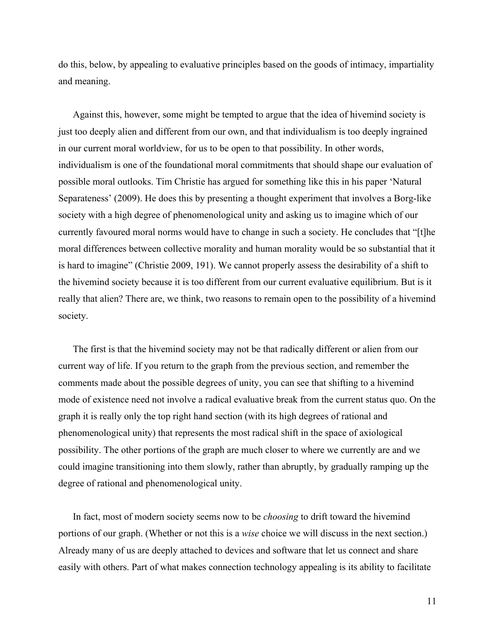do this, below, by appealing to evaluative principles based on the goods of intimacy, impartiality and meaning.

Against this, however, some might be tempted to argue that the idea of hivemind society is just too deeply alien and different from our own, and that individualism is too deeply ingrained in our current moral worldview, for us to be open to that possibility. In other words, individualism is one of the foundational moral commitments that should shape our evaluation of possible moral outlooks. Tim Christie has argued for something like this in his paper 'Natural Separateness' (2009). He does this by presenting a thought experiment that involves a Borg-like society with a high degree of phenomenological unity and asking us to imagine which of our currently favoured moral norms would have to change in such a society. He concludes that "[t]he moral differences between collective morality and human morality would be so substantial that it is hard to imagine" (Christie 2009, 191). We cannot properly assess the desirability of a shift to the hivemind society because it is too different from our current evaluative equilibrium. But is it really that alien? There are, we think, two reasons to remain open to the possibility of a hivemind society.

The first is that the hivemind society may not be that radically different or alien from our current way of life. If you return to the graph from the previous section, and remember the comments made about the possible degrees of unity, you can see that shifting to a hivemind mode of existence need not involve a radical evaluative break from the current status quo. On the graph it is really only the top right hand section (with its high degrees of rational and phenomenological unity) that represents the most radical shift in the space of axiological possibility. The other portions of the graph are much closer to where we currently are and we could imagine transitioning into them slowly, rather than abruptly, by gradually ramping up the degree of rational and phenomenological unity.

In fact, most of modern society seems now to be *choosing* to drift toward the hivemind portions of our graph. (Whether or not this is a *wise* choice we will discuss in the next section.) Already many of us are deeply attached to devices and software that let us connect and share easily with others. Part of what makes connection technology appealing is its ability to facilitate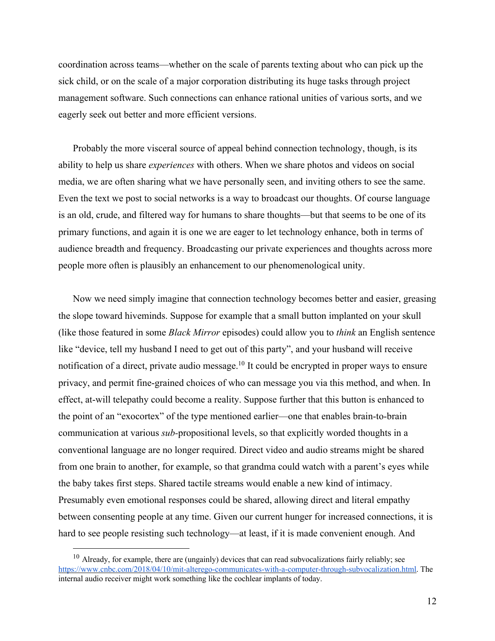coordination across teams—whether on the scale of parents texting about who can pick up the sick child, or on the scale of a major corporation distributing its huge tasks through project management software. Such connections can enhance rational unities of various sorts, and we eagerly seek out better and more efficient versions.

Probably the more visceral source of appeal behind connection technology, though, is its ability to help us share *experiences* with others. When we share photos and videos on social media, we are often sharing what we have personally seen, and inviting others to see the same. Even the text we post to social networks is a way to broadcast our thoughts. Of course language is an old, crude, and filtered way for humans to share thoughts—but that seems to be one of its primary functions, and again it is one we are eager to let technology enhance, both in terms of audience breadth and frequency. Broadcasting our private experiences and thoughts across more people more often is plausibly an enhancement to our phenomenological unity.

Now we need simply imagine that connection technology becomes better and easier, greasing the slope toward hiveminds. Suppose for example that a small button implanted on your skull (like those featured in some *Black Mirror* episodes) could allow you to *think* an English sentence like "device, tell my husband I need to get out of this party", and your husband will receive notification of a direct, private audio message.<sup>10</sup> It could be encrypted in proper ways to ensure privacy, and permit fine-grained choices of who can message you via this method, and when. In effect, at-will telepathy could become a reality. Suppose further that this button is enhanced to the point of an "exocortex" of the type mentioned earlier—one that enables brain-to-brain communication at various *sub-*propositional levels, so that explicitly worded thoughts in a conventional language are no longer required. Direct video and audio streams might be shared from one brain to another, for example, so that grandma could watch with a parent's eyes while the baby takes first steps. Shared tactile streams would enable a new kind of intimacy. Presumably even emotional responses could be shared, allowing direct and literal empathy between consenting people at any time. Given our current hunger for increased connections, it is hard to see people resisting such technology—at least, if it is made convenient enough. And

 $10$  Already, for example, there are (ungainly) devices that can read subvocalizations fairly reliably; see https://www.cnbc.com/2018/04/10/mit-alterego-communicates-with-a-computer-through-subvocalization.html. The internal audio receiver might work something like the cochlear implants of today.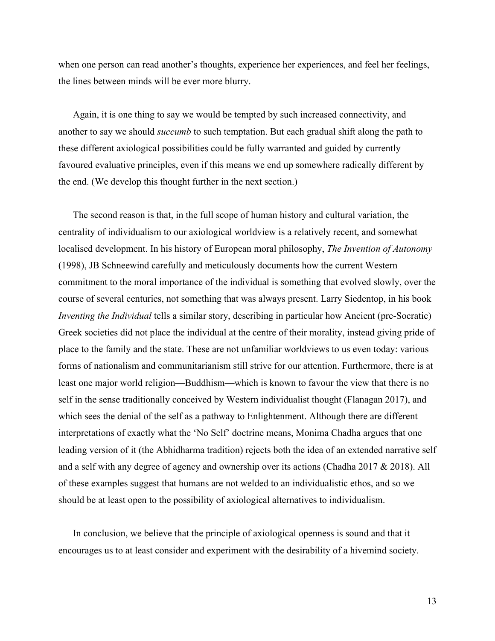when one person can read another's thoughts, experience her experiences, and feel her feelings, the lines between minds will be ever more blurry.

Again, it is one thing to say we would be tempted by such increased connectivity, and another to say we should *succumb* to such temptation. But each gradual shift along the path to these different axiological possibilities could be fully warranted and guided by currently favoured evaluative principles, even if this means we end up somewhere radically different by the end. (We develop this thought further in the next section.)

The second reason is that, in the full scope of human history and cultural variation, the centrality of individualism to our axiological worldview is a relatively recent, and somewhat localised development. In his history of European moral philosophy, *The Invention of Autonomy*  (1998), JB Schneewind carefully and meticulously documents how the current Western commitment to the moral importance of the individual is something that evolved slowly, over the course of several centuries, not something that was always present. Larry Siedentop, in his book *Inventing the Individual* tells a similar story, describing in particular how Ancient (pre-Socratic) Greek societies did not place the individual at the centre of their morality, instead giving pride of place to the family and the state. These are not unfamiliar worldviews to us even today: various forms of nationalism and communitarianism still strive for our attention. Furthermore, there is at least one major world religion—Buddhism—which is known to favour the view that there is no self in the sense traditionally conceived by Western individualist thought (Flanagan 2017), and which sees the denial of the self as a pathway to Enlightenment. Although there are different interpretations of exactly what the 'No Self' doctrine means, Monima Chadha argues that one leading version of it (the Abhidharma tradition) rejects both the idea of an extended narrative self and a self with any degree of agency and ownership over its actions (Chadha 2017 & 2018). All of these examples suggest that humans are not welded to an individualistic ethos, and so we should be at least open to the possibility of axiological alternatives to individualism.

In conclusion, we believe that the principle of axiological openness is sound and that it encourages us to at least consider and experiment with the desirability of a hivemind society.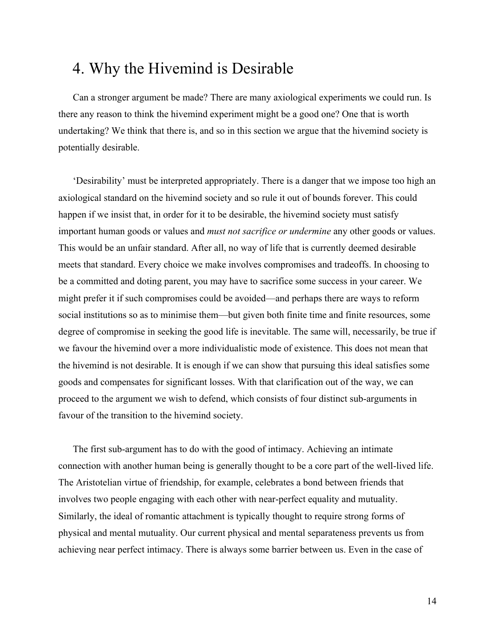#### 4. Why the Hivemind is Desirable

Can a stronger argument be made? There are many axiological experiments we could run. Is there any reason to think the hivemind experiment might be a good one? One that is worth undertaking? We think that there is, and so in this section we argue that the hivemind society is potentially desirable.

'Desirability' must be interpreted appropriately. There is a danger that we impose too high an axiological standard on the hivemind society and so rule it out of bounds forever. This could happen if we insist that, in order for it to be desirable, the hivemind society must satisfy important human goods or values and *must not sacrifice or undermine* any other goods or values. This would be an unfair standard. After all, no way of life that is currently deemed desirable meets that standard. Every choice we make involves compromises and tradeoffs. In choosing to be a committed and doting parent, you may have to sacrifice some success in your career. We might prefer it if such compromises could be avoided—and perhaps there are ways to reform social institutions so as to minimise them—but given both finite time and finite resources, some degree of compromise in seeking the good life is inevitable. The same will, necessarily, be true if we favour the hivemind over a more individualistic mode of existence. This does not mean that the hivemind is not desirable. It is enough if we can show that pursuing this ideal satisfies some goods and compensates for significant losses. With that clarification out of the way, we can proceed to the argument we wish to defend, which consists of four distinct sub-arguments in favour of the transition to the hivemind society.

The first sub-argument has to do with the good of intimacy. Achieving an intimate connection with another human being is generally thought to be a core part of the well-lived life. The Aristotelian virtue of friendship, for example, celebrates a bond between friends that involves two people engaging with each other with near-perfect equality and mutuality. Similarly, the ideal of romantic attachment is typically thought to require strong forms of physical and mental mutuality. Our current physical and mental separateness prevents us from achieving near perfect intimacy. There is always some barrier between us. Even in the case of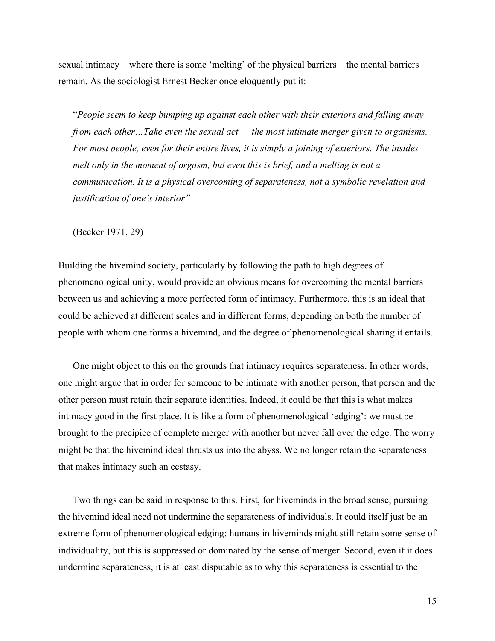sexual intimacy—where there is some 'melting' of the physical barriers—the mental barriers remain. As the sociologist Ernest Becker once eloquently put it:

"*People seem to keep bumping up against each other with their exteriors and falling away from each other…Take even the sexual act — the most intimate merger given to organisms. For most people, even for their entire lives, it is simply a joining of exteriors. The insides melt only in the moment of orgasm, but even this is brief, and a melting is not a communication. It is a physical overcoming of separateness, not a symbolic revelation and justification of one's interior"*

(Becker 1971, 29)

Building the hivemind society, particularly by following the path to high degrees of phenomenological unity, would provide an obvious means for overcoming the mental barriers between us and achieving a more perfected form of intimacy. Furthermore, this is an ideal that could be achieved at different scales and in different forms, depending on both the number of people with whom one forms a hivemind, and the degree of phenomenological sharing it entails.

One might object to this on the grounds that intimacy requires separateness. In other words, one might argue that in order for someone to be intimate with another person, that person and the other person must retain their separate identities. Indeed, it could be that this is what makes intimacy good in the first place. It is like a form of phenomenological 'edging': we must be brought to the precipice of complete merger with another but never fall over the edge. The worry might be that the hivemind ideal thrusts us into the abyss. We no longer retain the separateness that makes intimacy such an ecstasy.

Two things can be said in response to this. First, for hiveminds in the broad sense, pursuing the hivemind ideal need not undermine the separateness of individuals. It could itself just be an extreme form of phenomenological edging: humans in hiveminds might still retain some sense of individuality, but this is suppressed or dominated by the sense of merger. Second, even if it does undermine separateness, it is at least disputable as to why this separateness is essential to the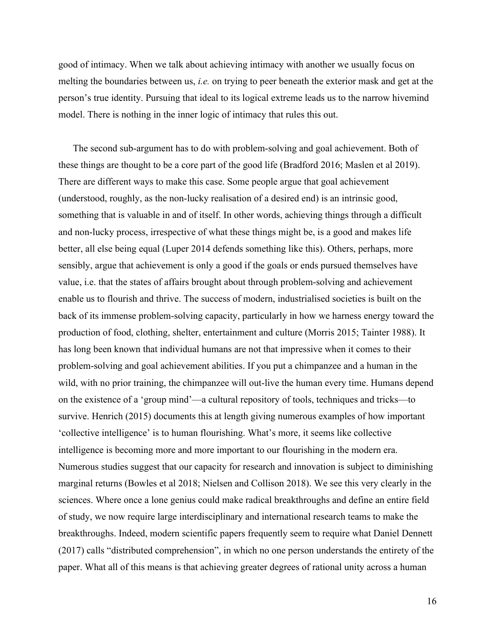good of intimacy. When we talk about achieving intimacy with another we usually focus on melting the boundaries between us, *i.e.* on trying to peer beneath the exterior mask and get at the person's true identity. Pursuing that ideal to its logical extreme leads us to the narrow hivemind model. There is nothing in the inner logic of intimacy that rules this out.

The second sub-argument has to do with problem-solving and goal achievement. Both of these things are thought to be a core part of the good life (Bradford 2016; Maslen et al 2019). There are different ways to make this case. Some people argue that goal achievement (understood, roughly, as the non-lucky realisation of a desired end) is an intrinsic good, something that is valuable in and of itself. In other words, achieving things through a difficult and non-lucky process, irrespective of what these things might be, is a good and makes life better, all else being equal (Luper 2014 defends something like this). Others, perhaps, more sensibly, argue that achievement is only a good if the goals or ends pursued themselves have value, i.e. that the states of affairs brought about through problem-solving and achievement enable us to flourish and thrive. The success of modern, industrialised societies is built on the back of its immense problem-solving capacity, particularly in how we harness energy toward the production of food, clothing, shelter, entertainment and culture (Morris 2015; Tainter 1988). It has long been known that individual humans are not that impressive when it comes to their problem-solving and goal achievement abilities. If you put a chimpanzee and a human in the wild, with no prior training, the chimpanzee will out-live the human every time. Humans depend on the existence of a 'group mind'—a cultural repository of tools, techniques and tricks—to survive. Henrich (2015) documents this at length giving numerous examples of how important 'collective intelligence' is to human flourishing. What's more, it seems like collective intelligence is becoming more and more important to our flourishing in the modern era. Numerous studies suggest that our capacity for research and innovation is subject to diminishing marginal returns (Bowles et al 2018; Nielsen and Collison 2018). We see this very clearly in the sciences. Where once a lone genius could make radical breakthroughs and define an entire field of study, we now require large interdisciplinary and international research teams to make the breakthroughs. Indeed, modern scientific papers frequently seem to require what Daniel Dennett (2017) calls "distributed comprehension", in which no one person understands the entirety of the paper. What all of this means is that achieving greater degrees of rational unity across a human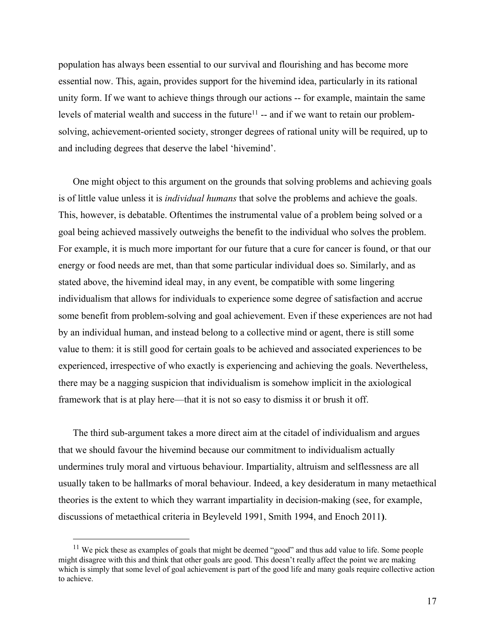population has always been essential to our survival and flourishing and has become more essential now. This, again, provides support for the hivemind idea, particularly in its rational unity form. If we want to achieve things through our actions -- for example, maintain the same levels of material wealth and success in the future<sup>11</sup> -- and if we want to retain our problemsolving, achievement-oriented society, stronger degrees of rational unity will be required, up to and including degrees that deserve the label 'hivemind'.

One might object to this argument on the grounds that solving problems and achieving goals is of little value unless it is *individual humans* that solve the problems and achieve the goals. This, however, is debatable. Oftentimes the instrumental value of a problem being solved or a goal being achieved massively outweighs the benefit to the individual who solves the problem. For example, it is much more important for our future that a cure for cancer is found, or that our energy or food needs are met, than that some particular individual does so. Similarly, and as stated above, the hivemind ideal may, in any event, be compatible with some lingering individualism that allows for individuals to experience some degree of satisfaction and accrue some benefit from problem-solving and goal achievement. Even if these experiences are not had by an individual human, and instead belong to a collective mind or agent, there is still some value to them: it is still good for certain goals to be achieved and associated experiences to be experienced, irrespective of who exactly is experiencing and achieving the goals. Nevertheless, there may be a nagging suspicion that individualism is somehow implicit in the axiological framework that is at play here—that it is not so easy to dismiss it or brush it off.

The third sub-argument takes a more direct aim at the citadel of individualism and argues that we should favour the hivemind because our commitment to individualism actually undermines truly moral and virtuous behaviour. Impartiality, altruism and selflessness are all usually taken to be hallmarks of moral behaviour. Indeed, a key desideratum in many metaethical theories is the extent to which they warrant impartiality in decision-making (see, for example, discussions of metaethical criteria in Beyleveld 1991, Smith 1994, and Enoch 2011**)**.

 $11$  We pick these as examples of goals that might be deemed "good" and thus add value to life. Some people might disagree with this and think that other goals are good. This doesn't really affect the point we are making which is simply that some level of goal achievement is part of the good life and many goals require collective action to achieve.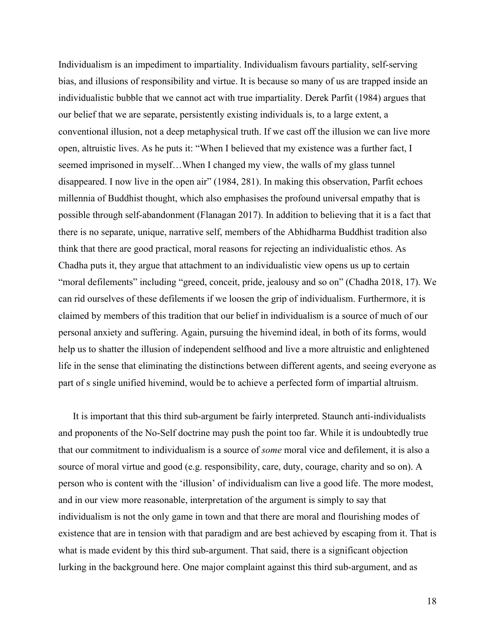Individualism is an impediment to impartiality. Individualism favours partiality, self-serving bias, and illusions of responsibility and virtue. It is because so many of us are trapped inside an individualistic bubble that we cannot act with true impartiality. Derek Parfit (1984) argues that our belief that we are separate, persistently existing individuals is, to a large extent, a conventional illusion, not a deep metaphysical truth. If we cast off the illusion we can live more open, altruistic lives. As he puts it: "When I believed that my existence was a further fact, I seemed imprisoned in myself…When I changed my view, the walls of my glass tunnel disappeared. I now live in the open air" (1984, 281). In making this observation, Parfit echoes millennia of Buddhist thought, which also emphasises the profound universal empathy that is possible through self-abandonment (Flanagan 2017). In addition to believing that it is a fact that there is no separate, unique, narrative self, members of the Abhidharma Buddhist tradition also think that there are good practical, moral reasons for rejecting an individualistic ethos. As Chadha puts it, they argue that attachment to an individualistic view opens us up to certain "moral defilements" including "greed, conceit, pride, jealousy and so on" (Chadha 2018, 17). We can rid ourselves of these defilements if we loosen the grip of individualism. Furthermore, it is claimed by members of this tradition that our belief in individualism is a source of much of our personal anxiety and suffering. Again, pursuing the hivemind ideal, in both of its forms, would help us to shatter the illusion of independent selfhood and live a more altruistic and enlightened life in the sense that eliminating the distinctions between different agents, and seeing everyone as part of s single unified hivemind, would be to achieve a perfected form of impartial altruism.

It is important that this third sub-argument be fairly interpreted. Staunch anti-individualists and proponents of the No-Self doctrine may push the point too far. While it is undoubtedly true that our commitment to individualism is a source of *some* moral vice and defilement, it is also a source of moral virtue and good (e.g. responsibility, care, duty, courage, charity and so on). A person who is content with the 'illusion' of individualism can live a good life. The more modest, and in our view more reasonable, interpretation of the argument is simply to say that individualism is not the only game in town and that there are moral and flourishing modes of existence that are in tension with that paradigm and are best achieved by escaping from it. That is what is made evident by this third sub-argument. That said, there is a significant objection lurking in the background here. One major complaint against this third sub-argument, and as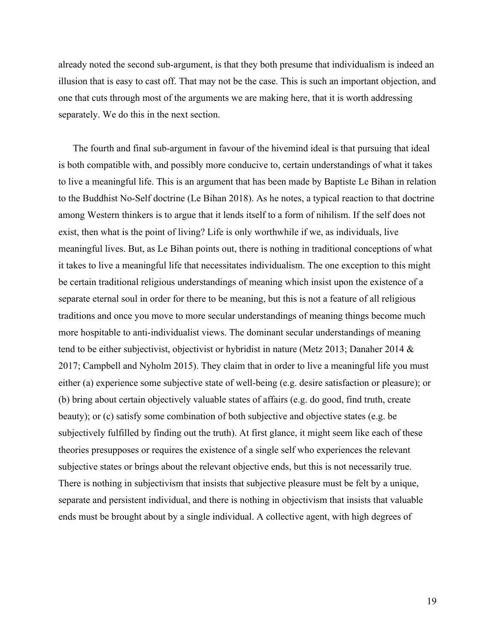already noted the second sub-argument, is that they both presume that individualism is indeed an illusion that is easy to cast off. That may not be the case. This is such an important objection, and one that cuts through most of the arguments we are making here, that it is worth addressing separately. We do this in the next section.

The fourth and final sub-argument in favour of the hivemind ideal is that pursuing that ideal is both compatible with, and possibly more conducive to, certain understandings of what it takes to live a meaningful life. This is an argument that has been made by Baptiste Le Bihan in relation to the Buddhist No-Self doctrine (Le Bihan 2018). As he notes, a typical reaction to that doctrine among Western thinkers is to argue that it lends itself to a form of nihilism. If the self does not exist, then what is the point of living? Life is only worthwhile if we, as individuals, live meaningful lives. But, as Le Bihan points out, there is nothing in traditional conceptions of what it takes to live a meaningful life that necessitates individualism. The one exception to this might be certain traditional religious understandings of meaning which insist upon the existence of a separate eternal soul in order for there to be meaning, but this is not a feature of all religious traditions and once you move to more secular understandings of meaning things become much more hospitable to anti-individualist views. The dominant secular understandings of meaning tend to be either subjectivist, objectivist or hybridist in nature (Metz 2013; Danaher 2014 & 2017; Campbell and Nyholm 2015). They claim that in order to live a meaningful life you must either (a) experience some subjective state of well-being (e.g. desire satisfaction or pleasure); or (b) bring about certain objectively valuable states of affairs (e.g. do good, find truth, create beauty); or (c) satisfy some combination of both subjective and objective states (e.g. be subjectively fulfilled by finding out the truth). At first glance, it might seem like each of these theories presupposes or requires the existence of a single self who experiences the relevant subjective states or brings about the relevant objective ends, but this is not necessarily true. There is nothing in subjectivism that insists that subjective pleasure must be felt by a unique, separate and persistent individual, and there is nothing in objectivism that insists that valuable ends must be brought about by a single individual. A collective agent, with high degrees of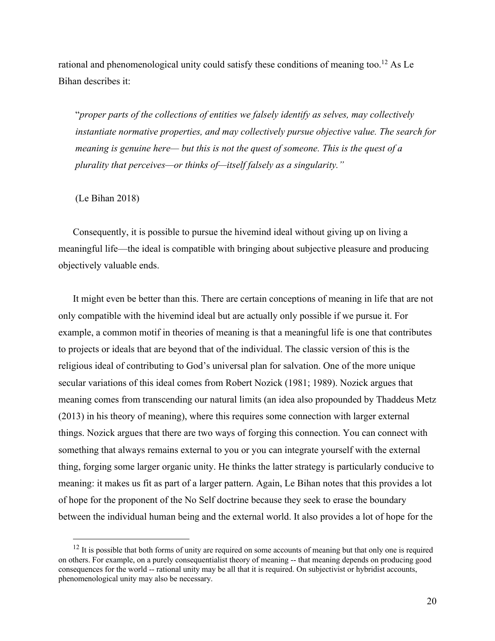rational and phenomenological unity could satisfy these conditions of meaning too.12 As Le Bihan describes it:

"*proper parts of the collections of entities we falsely identify as selves, may collectively instantiate normative properties, and may collectively pursue objective value. The search for meaning is genuine here— but this is not the quest of someone. This is the quest of a plurality that perceives—or thinks of—itself falsely as a singularity."*

(Le Bihan 2018)

Consequently, it is possible to pursue the hivemind ideal without giving up on living a meaningful life—the ideal is compatible with bringing about subjective pleasure and producing objectively valuable ends.

It might even be better than this. There are certain conceptions of meaning in life that are not only compatible with the hivemind ideal but are actually only possible if we pursue it. For example, a common motif in theories of meaning is that a meaningful life is one that contributes to projects or ideals that are beyond that of the individual. The classic version of this is the religious ideal of contributing to God's universal plan for salvation. One of the more unique secular variations of this ideal comes from Robert Nozick (1981; 1989). Nozick argues that meaning comes from transcending our natural limits (an idea also propounded by Thaddeus Metz (2013) in his theory of meaning), where this requires some connection with larger external things. Nozick argues that there are two ways of forging this connection. You can connect with something that always remains external to you or you can integrate yourself with the external thing, forging some larger organic unity. He thinks the latter strategy is particularly conducive to meaning: it makes us fit as part of a larger pattern. Again, Le Bihan notes that this provides a lot of hope for the proponent of the No Self doctrine because they seek to erase the boundary between the individual human being and the external world. It also provides a lot of hope for the

<sup>&</sup>lt;sup>12</sup> It is possible that both forms of unity are required on some accounts of meaning but that only one is required on others. For example, on a purely consequentialist theory of meaning -- that meaning depends on producing good consequences for the world -- rational unity may be all that it is required. On subjectivist or hybridist accounts, phenomenological unity may also be necessary.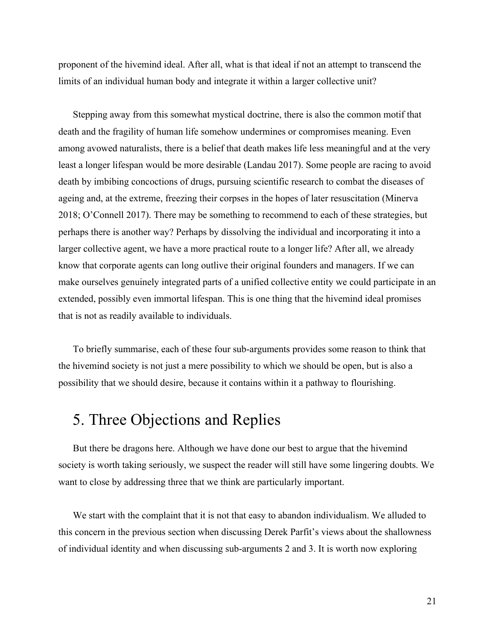proponent of the hivemind ideal. After all, what is that ideal if not an attempt to transcend the limits of an individual human body and integrate it within a larger collective unit?

Stepping away from this somewhat mystical doctrine, there is also the common motif that death and the fragility of human life somehow undermines or compromises meaning. Even among avowed naturalists, there is a belief that death makes life less meaningful and at the very least a longer lifespan would be more desirable (Landau 2017). Some people are racing to avoid death by imbibing concoctions of drugs, pursuing scientific research to combat the diseases of ageing and, at the extreme, freezing their corpses in the hopes of later resuscitation (Minerva 2018; O'Connell 2017). There may be something to recommend to each of these strategies, but perhaps there is another way? Perhaps by dissolving the individual and incorporating it into a larger collective agent, we have a more practical route to a longer life? After all, we already know that corporate agents can long outlive their original founders and managers. If we can make ourselves genuinely integrated parts of a unified collective entity we could participate in an extended, possibly even immortal lifespan. This is one thing that the hivemind ideal promises that is not as readily available to individuals.

To briefly summarise, each of these four sub-arguments provides some reason to think that the hivemind society is not just a mere possibility to which we should be open, but is also a possibility that we should desire, because it contains within it a pathway to flourishing.

### 5. Three Objections and Replies

But there be dragons here. Although we have done our best to argue that the hivemind society is worth taking seriously, we suspect the reader will still have some lingering doubts. We want to close by addressing three that we think are particularly important.

We start with the complaint that it is not that easy to abandon individualism. We alluded to this concern in the previous section when discussing Derek Parfit's views about the shallowness of individual identity and when discussing sub-arguments 2 and 3. It is worth now exploring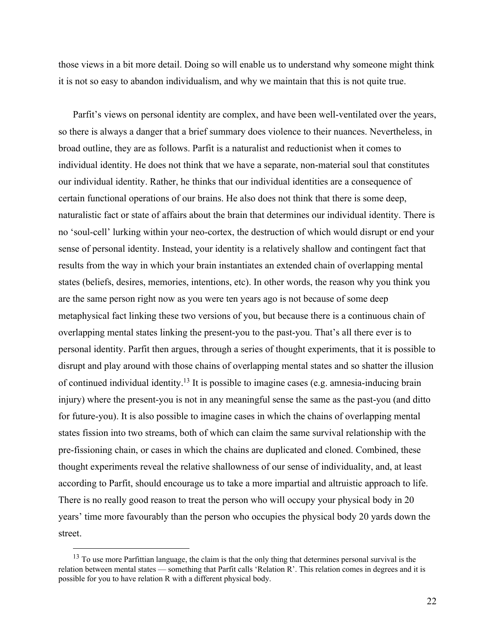those views in a bit more detail. Doing so will enable us to understand why someone might think it is not so easy to abandon individualism, and why we maintain that this is not quite true.

Parfit's views on personal identity are complex, and have been well-ventilated over the years, so there is always a danger that a brief summary does violence to their nuances. Nevertheless, in broad outline, they are as follows. Parfit is a naturalist and reductionist when it comes to individual identity. He does not think that we have a separate, non-material soul that constitutes our individual identity. Rather, he thinks that our individual identities are a consequence of certain functional operations of our brains. He also does not think that there is some deep, naturalistic fact or state of affairs about the brain that determines our individual identity. There is no 'soul-cell' lurking within your neo-cortex, the destruction of which would disrupt or end your sense of personal identity. Instead, your identity is a relatively shallow and contingent fact that results from the way in which your brain instantiates an extended chain of overlapping mental states (beliefs, desires, memories, intentions, etc). In other words, the reason why you think you are the same person right now as you were ten years ago is not because of some deep metaphysical fact linking these two versions of you, but because there is a continuous chain of overlapping mental states linking the present-you to the past-you. That's all there ever is to personal identity. Parfit then argues, through a series of thought experiments, that it is possible to disrupt and play around with those chains of overlapping mental states and so shatter the illusion of continued individual identity.13 It is possible to imagine cases (e.g. amnesia-inducing brain injury) where the present-you is not in any meaningful sense the same as the past-you (and ditto for future-you). It is also possible to imagine cases in which the chains of overlapping mental states fission into two streams, both of which can claim the same survival relationship with the pre-fissioning chain, or cases in which the chains are duplicated and cloned. Combined, these thought experiments reveal the relative shallowness of our sense of individuality, and, at least according to Parfit, should encourage us to take a more impartial and altruistic approach to life. There is no really good reason to treat the person who will occupy your physical body in 20 years' time more favourably than the person who occupies the physical body 20 yards down the street.

<sup>&</sup>lt;sup>13</sup> To use more Parfittian language, the claim is that the only thing that determines personal survival is the relation between mental states — something that Parfit calls 'Relation R'. This relation comes in degrees and it is possible for you to have relation R with a different physical body.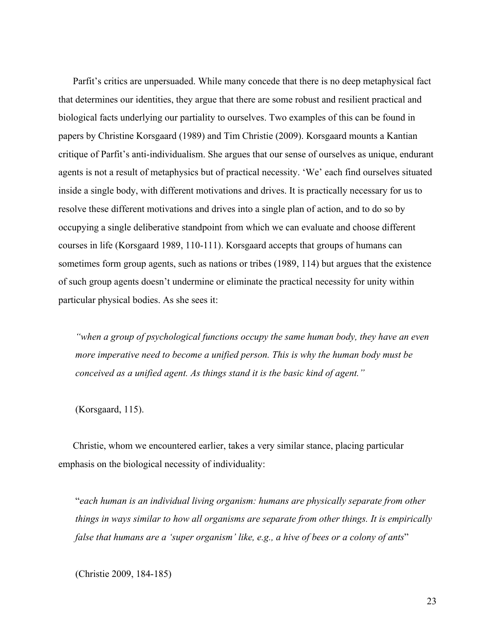Parfit's critics are unpersuaded. While many concede that there is no deep metaphysical fact that determines our identities, they argue that there are some robust and resilient practical and biological facts underlying our partiality to ourselves. Two examples of this can be found in papers by Christine Korsgaard (1989) and Tim Christie (2009). Korsgaard mounts a Kantian critique of Parfit's anti-individualism. She argues that our sense of ourselves as unique, endurant agents is not a result of metaphysics but of practical necessity. 'We' each find ourselves situated inside a single body, with different motivations and drives. It is practically necessary for us to resolve these different motivations and drives into a single plan of action, and to do so by occupying a single deliberative standpoint from which we can evaluate and choose different courses in life (Korsgaard 1989, 110-111). Korsgaard accepts that groups of humans can sometimes form group agents, such as nations or tribes (1989, 114) but argues that the existence of such group agents doesn't undermine or eliminate the practical necessity for unity within particular physical bodies. As she sees it:

*"when a group of psychological functions occupy the same human body, they have an even more imperative need to become a unified person. This is why the human body must be conceived as a unified agent. As things stand it is the basic kind of agent."*

(Korsgaard, 115).

Christie, whom we encountered earlier, takes a very similar stance, placing particular emphasis on the biological necessity of individuality:

"*each human is an individual living organism: humans are physically separate from other things in ways similar to how all organisms are separate from other things. It is empirically false that humans are a 'super organism' like, e.g., a hive of bees or a colony of ants*"

(Christie 2009, 184-185)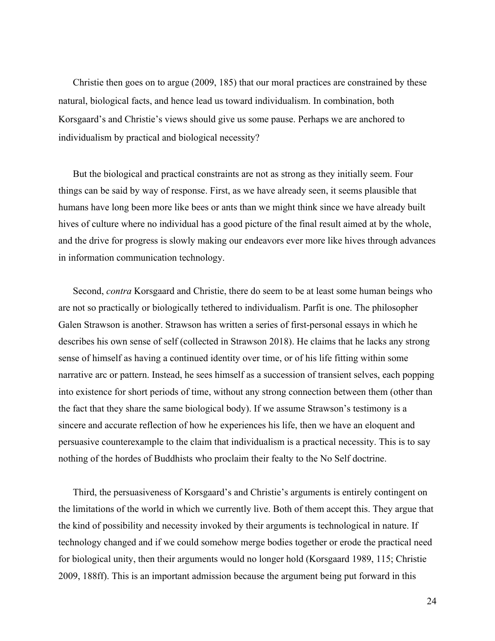Christie then goes on to argue (2009, 185) that our moral practices are constrained by these natural, biological facts, and hence lead us toward individualism. In combination, both Korsgaard's and Christie's views should give us some pause. Perhaps we are anchored to individualism by practical and biological necessity?

But the biological and practical constraints are not as strong as they initially seem. Four things can be said by way of response. First, as we have already seen, it seems plausible that humans have long been more like bees or ants than we might think since we have already built hives of culture where no individual has a good picture of the final result aimed at by the whole, and the drive for progress is slowly making our endeavors ever more like hives through advances in information communication technology.

Second, *contra* Korsgaard and Christie, there do seem to be at least some human beings who are not so practically or biologically tethered to individualism. Parfit is one. The philosopher Galen Strawson is another. Strawson has written a series of first-personal essays in which he describes his own sense of self (collected in Strawson 2018). He claims that he lacks any strong sense of himself as having a continued identity over time, or of his life fitting within some narrative arc or pattern. Instead, he sees himself as a succession of transient selves, each popping into existence for short periods of time, without any strong connection between them (other than the fact that they share the same biological body). If we assume Strawson's testimony is a sincere and accurate reflection of how he experiences his life, then we have an eloquent and persuasive counterexample to the claim that individualism is a practical necessity. This is to say nothing of the hordes of Buddhists who proclaim their fealty to the No Self doctrine.

Third, the persuasiveness of Korsgaard's and Christie's arguments is entirely contingent on the limitations of the world in which we currently live. Both of them accept this. They argue that the kind of possibility and necessity invoked by their arguments is technological in nature. If technology changed and if we could somehow merge bodies together or erode the practical need for biological unity, then their arguments would no longer hold (Korsgaard 1989, 115; Christie 2009, 188ff). This is an important admission because the argument being put forward in this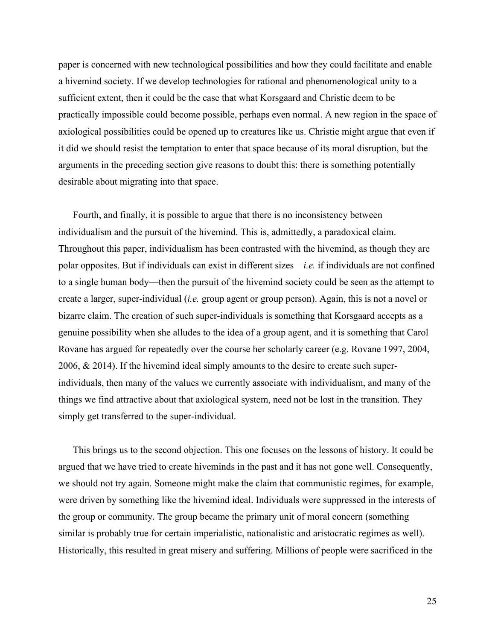paper is concerned with new technological possibilities and how they could facilitate and enable a hivemind society. If we develop technologies for rational and phenomenological unity to a sufficient extent, then it could be the case that what Korsgaard and Christie deem to be practically impossible could become possible, perhaps even normal. A new region in the space of axiological possibilities could be opened up to creatures like us. Christie might argue that even if it did we should resist the temptation to enter that space because of its moral disruption, but the arguments in the preceding section give reasons to doubt this: there is something potentially desirable about migrating into that space.

Fourth, and finally, it is possible to argue that there is no inconsistency between individualism and the pursuit of the hivemind. This is, admittedly, a paradoxical claim. Throughout this paper, individualism has been contrasted with the hivemind, as though they are polar opposites. But if individuals can exist in different sizes—*i.e.* if individuals are not confined to a single human body—then the pursuit of the hivemind society could be seen as the attempt to create a larger, super-individual (*i.e.* group agent or group person). Again, this is not a novel or bizarre claim. The creation of such super-individuals is something that Korsgaard accepts as a genuine possibility when she alludes to the idea of a group agent, and it is something that Carol Rovane has argued for repeatedly over the course her scholarly career (e.g. Rovane 1997, 2004, 2006, & 2014). If the hivemind ideal simply amounts to the desire to create such superindividuals, then many of the values we currently associate with individualism, and many of the things we find attractive about that axiological system, need not be lost in the transition. They simply get transferred to the super-individual.

This brings us to the second objection. This one focuses on the lessons of history. It could be argued that we have tried to create hiveminds in the past and it has not gone well. Consequently, we should not try again. Someone might make the claim that communistic regimes, for example, were driven by something like the hivemind ideal. Individuals were suppressed in the interests of the group or community. The group became the primary unit of moral concern (something similar is probably true for certain imperialistic, nationalistic and aristocratic regimes as well). Historically, this resulted in great misery and suffering. Millions of people were sacrificed in the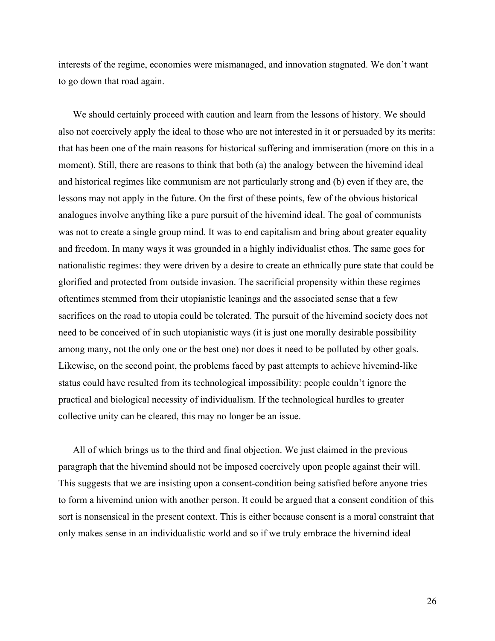interests of the regime, economies were mismanaged, and innovation stagnated. We don't want to go down that road again.

We should certainly proceed with caution and learn from the lessons of history. We should also not coercively apply the ideal to those who are not interested in it or persuaded by its merits: that has been one of the main reasons for historical suffering and immiseration (more on this in a moment). Still, there are reasons to think that both (a) the analogy between the hivemind ideal and historical regimes like communism are not particularly strong and (b) even if they are, the lessons may not apply in the future. On the first of these points, few of the obvious historical analogues involve anything like a pure pursuit of the hivemind ideal. The goal of communists was not to create a single group mind. It was to end capitalism and bring about greater equality and freedom. In many ways it was grounded in a highly individualist ethos. The same goes for nationalistic regimes: they were driven by a desire to create an ethnically pure state that could be glorified and protected from outside invasion. The sacrificial propensity within these regimes oftentimes stemmed from their utopianistic leanings and the associated sense that a few sacrifices on the road to utopia could be tolerated. The pursuit of the hivemind society does not need to be conceived of in such utopianistic ways (it is just one morally desirable possibility among many, not the only one or the best one) nor does it need to be polluted by other goals. Likewise, on the second point, the problems faced by past attempts to achieve hivemind-like status could have resulted from its technological impossibility: people couldn't ignore the practical and biological necessity of individualism. If the technological hurdles to greater collective unity can be cleared, this may no longer be an issue.

All of which brings us to the third and final objection. We just claimed in the previous paragraph that the hivemind should not be imposed coercively upon people against their will. This suggests that we are insisting upon a consent-condition being satisfied before anyone tries to form a hivemind union with another person. It could be argued that a consent condition of this sort is nonsensical in the present context. This is either because consent is a moral constraint that only makes sense in an individualistic world and so if we truly embrace the hivemind ideal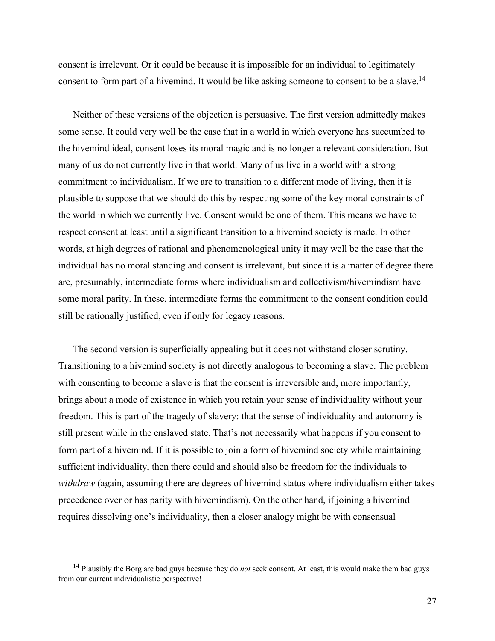consent is irrelevant. Or it could be because it is impossible for an individual to legitimately consent to form part of a hivemind. It would be like asking someone to consent to be a slave.<sup>14</sup>

Neither of these versions of the objection is persuasive. The first version admittedly makes some sense. It could very well be the case that in a world in which everyone has succumbed to the hivemind ideal, consent loses its moral magic and is no longer a relevant consideration. But many of us do not currently live in that world. Many of us live in a world with a strong commitment to individualism. If we are to transition to a different mode of living, then it is plausible to suppose that we should do this by respecting some of the key moral constraints of the world in which we currently live. Consent would be one of them. This means we have to respect consent at least until a significant transition to a hivemind society is made. In other words, at high degrees of rational and phenomenological unity it may well be the case that the individual has no moral standing and consent is irrelevant, but since it is a matter of degree there are, presumably, intermediate forms where individualism and collectivism/hivemindism have some moral parity. In these, intermediate forms the commitment to the consent condition could still be rationally justified, even if only for legacy reasons.

The second version is superficially appealing but it does not withstand closer scrutiny. Transitioning to a hivemind society is not directly analogous to becoming a slave. The problem with consenting to become a slave is that the consent is irreversible and, more importantly, brings about a mode of existence in which you retain your sense of individuality without your freedom. This is part of the tragedy of slavery: that the sense of individuality and autonomy is still present while in the enslaved state. That's not necessarily what happens if you consent to form part of a hivemind. If it is possible to join a form of hivemind society while maintaining sufficient individuality, then there could and should also be freedom for the individuals to *withdraw* (again, assuming there are degrees of hivemind status where individualism either takes precedence over or has parity with hivemindism)*.* On the other hand, if joining a hivemind requires dissolving one's individuality, then a closer analogy might be with consensual

<sup>14</sup> Plausibly the Borg are bad guys because they do *not* seek consent. At least, this would make them bad guys from our current individualistic perspective!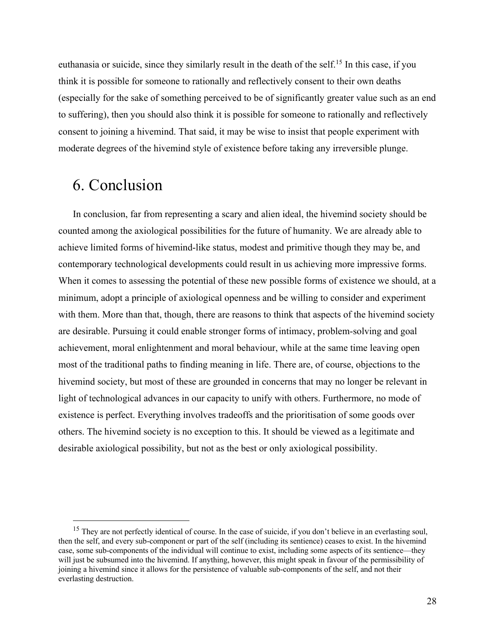euthanasia or suicide, since they similarly result in the death of the self.15 In this case, if you think it is possible for someone to rationally and reflectively consent to their own deaths (especially for the sake of something perceived to be of significantly greater value such as an end to suffering), then you should also think it is possible for someone to rationally and reflectively consent to joining a hivemind. That said, it may be wise to insist that people experiment with moderate degrees of the hivemind style of existence before taking any irreversible plunge.

# 6. Conclusion

In conclusion, far from representing a scary and alien ideal, the hivemind society should be counted among the axiological possibilities for the future of humanity. We are already able to achieve limited forms of hivemind-like status, modest and primitive though they may be, and contemporary technological developments could result in us achieving more impressive forms. When it comes to assessing the potential of these new possible forms of existence we should, at a minimum, adopt a principle of axiological openness and be willing to consider and experiment with them. More than that, though, there are reasons to think that aspects of the hivemind society are desirable. Pursuing it could enable stronger forms of intimacy, problem-solving and goal achievement, moral enlightenment and moral behaviour, while at the same time leaving open most of the traditional paths to finding meaning in life. There are, of course, objections to the hivemind society, but most of these are grounded in concerns that may no longer be relevant in light of technological advances in our capacity to unify with others. Furthermore, no mode of existence is perfect. Everything involves tradeoffs and the prioritisation of some goods over others. The hivemind society is no exception to this. It should be viewed as a legitimate and desirable axiological possibility, but not as the best or only axiological possibility.

 $15$  They are not perfectly identical of course. In the case of suicide, if you don't believe in an everlasting soul, then the self, and every sub-component or part of the self (including its sentience) ceases to exist. In the hivemind case, some sub-components of the individual will continue to exist, including some aspects of its sentience—they will just be subsumed into the hivemind. If anything, however, this might speak in favour of the permissibility of joining a hivemind since it allows for the persistence of valuable sub-components of the self, and not their everlasting destruction.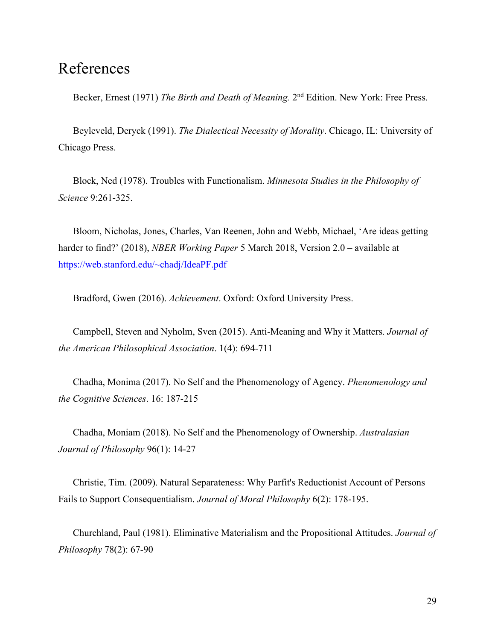# References

Becker, Ernest (1971) *The Birth and Death of Meaning.* 2nd Edition. New York: Free Press.

Beyleveld, Deryck (1991). *The Dialectical Necessity of Morality*. Chicago, IL: University of Chicago Press.

Block, Ned (1978). Troubles with Functionalism. *Minnesota Studies in the Philosophy of Science* 9:261-325.

Bloom, Nicholas, Jones, Charles, Van Reenen, John and Webb, Michael, 'Are ideas getting harder to find?' (2018), *NBER Working Paper* 5 March 2018, Version 2.0 – available at https://web.stanford.edu/~chadj/IdeaPF.pdf

Bradford, Gwen (2016). *Achievement*. Oxford: Oxford University Press.

Campbell, Steven and Nyholm, Sven (2015). Anti-Meaning and Why it Matters. *Journal of the American Philosophical Association*. 1(4): 694-711

Chadha, Monima (2017). No Self and the Phenomenology of Agency. *Phenomenology and the Cognitive Sciences*. 16: 187-215

Chadha, Moniam (2018). No Self and the Phenomenology of Ownership. *Australasian Journal of Philosophy* 96(1): 14-27

Christie, Tim. (2009). Natural Separateness: Why Parfit's Reductionist Account of Persons Fails to Support Consequentialism. *Journal of Moral Philosophy* 6(2): 178-195.

Churchland, Paul (1981). Eliminative Materialism and the Propositional Attitudes. *Journal of Philosophy* 78(2): 67-90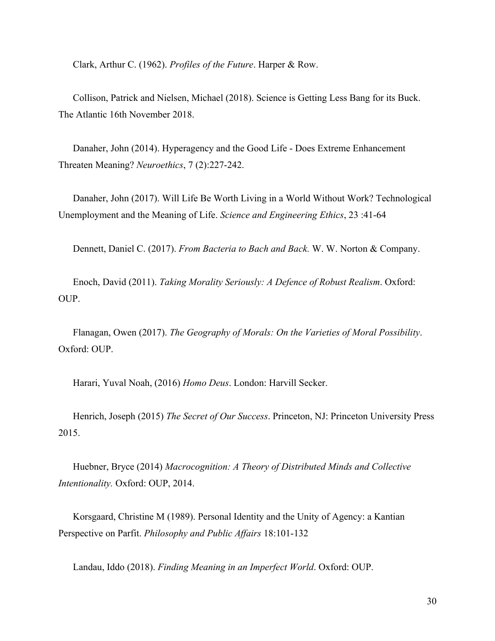Clark, Arthur C. (1962). *Profiles of the Future*. Harper & Row.

Collison, Patrick and Nielsen, Michael (2018). Science is Getting Less Bang for its Buck. The Atlantic 16th November 2018.

Danaher, John (2014). Hyperagency and the Good Life - Does Extreme Enhancement Threaten Meaning? *Neuroethics*, 7 (2):227-242.

Danaher, John (2017). Will Life Be Worth Living in a World Without Work? Technological Unemployment and the Meaning of Life. *Science and Engineering Ethics*, 23 :41-64

Dennett, Daniel C. (2017). *From Bacteria to Bach and Back.* W. W. Norton & Company.

Enoch, David (2011). *Taking Morality Seriously: A Defence of Robust Realism*. Oxford: OUP.

Flanagan, Owen (2017). *The Geography of Morals: On the Varieties of Moral Possibility*. Oxford: OUP.

Harari, Yuval Noah, (2016) *Homo Deus*. London: Harvill Secker.

Henrich, Joseph (2015) *The Secret of Our Success*. Princeton, NJ: Princeton University Press 2015.

Huebner, Bryce (2014) *Macrocognition: A Theory of Distributed Minds and Collective Intentionality.* Oxford: OUP, 2014.

Korsgaard, Christine M (1989). Personal Identity and the Unity of Agency: a Kantian Perspective on Parfit. *Philosophy and Public Affairs* 18:101-132

Landau, Iddo (2018). *Finding Meaning in an Imperfect World*. Oxford: OUP.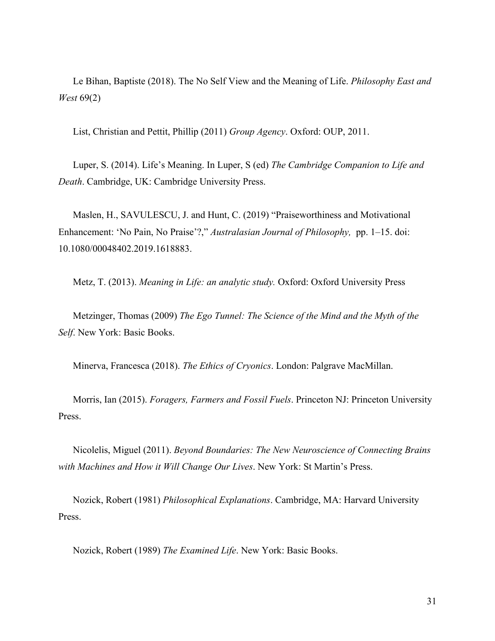Le Bihan, Baptiste (2018). The No Self View and the Meaning of Life. *Philosophy East and West* 69(2)

List, Christian and Pettit, Phillip (2011) *Group Agency*. Oxford: OUP, 2011.

Luper, S. (2014). Life's Meaning. In Luper, S (ed) *The Cambridge Companion to Life and Death*. Cambridge, UK: Cambridge University Press.

Maslen, H., SAVULESCU, J. and Hunt, C. (2019) "Praiseworthiness and Motivational Enhancement: 'No Pain, No Praise'?," *Australasian Journal of Philosophy,* pp. 1–15. doi: 10.1080/00048402.2019.1618883.

Metz, T. (2013). *Meaning in Life: an analytic study.* Oxford: Oxford University Press

Metzinger, Thomas (2009) *The Ego Tunnel: The Science of the Mind and the Myth of the Self*. New York: Basic Books.

Minerva, Francesca (2018). *The Ethics of Cryonics*. London: Palgrave MacMillan.

Morris, Ian (2015). *Foragers, Farmers and Fossil Fuels*. Princeton NJ: Princeton University Press.

Nicolelis, Miguel (2011). *Beyond Boundaries: The New Neuroscience of Connecting Brains with Machines and How it Will Change Our Lives*. New York: St Martin's Press.

Nozick, Robert (1981) *Philosophical Explanations*. Cambridge, MA: Harvard University Press.

Nozick, Robert (1989) *The Examined Life*. New York: Basic Books.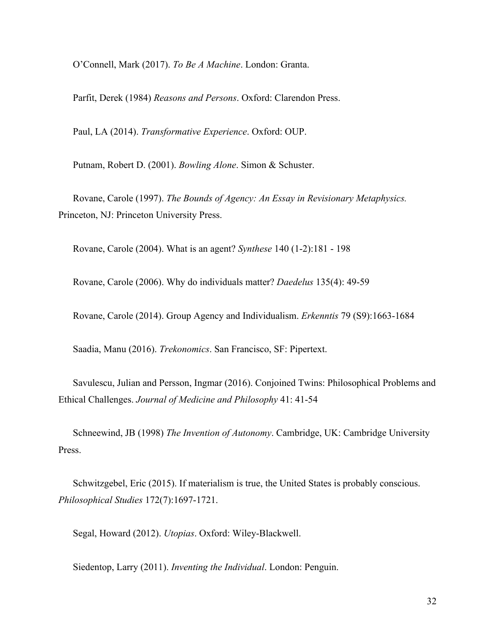O'Connell, Mark (2017). *To Be A Machine*. London: Granta.

Parfit, Derek (1984) *Reasons and Persons*. Oxford: Clarendon Press.

Paul, LA (2014). *Transformative Experience*. Oxford: OUP.

Putnam, Robert D. (2001). *Bowling Alone*. Simon & Schuster.

Rovane, Carole (1997). *The Bounds of Agency: An Essay in Revisionary Metaphysics.* Princeton, NJ: Princeton University Press.

Rovane, Carole (2004). What is an agent? *Synthese* 140 (1-2):181 - 198

Rovane, Carole (2006). Why do individuals matter? *Daedelus* 135(4): 49-59

Rovane, Carole (2014). Group Agency and Individualism. *Erkenntis* 79 (S9):1663-1684

Saadia, Manu (2016). *Trekonomics*. San Francisco, SF: Pipertext.

Savulescu, Julian and Persson, Ingmar (2016). Conjoined Twins: Philosophical Problems and Ethical Challenges. *Journal of Medicine and Philosophy* 41: 41-54

Schneewind, JB (1998) *The Invention of Autonomy*. Cambridge, UK: Cambridge University Press.

Schwitzgebel, Eric (2015). If materialism is true, the United States is probably conscious. *Philosophical Studies* 172(7):1697-1721.

Segal, Howard (2012). *Utopias*. Oxford: Wiley-Blackwell.

Siedentop, Larry (2011). *Inventing the Individual*. London: Penguin.